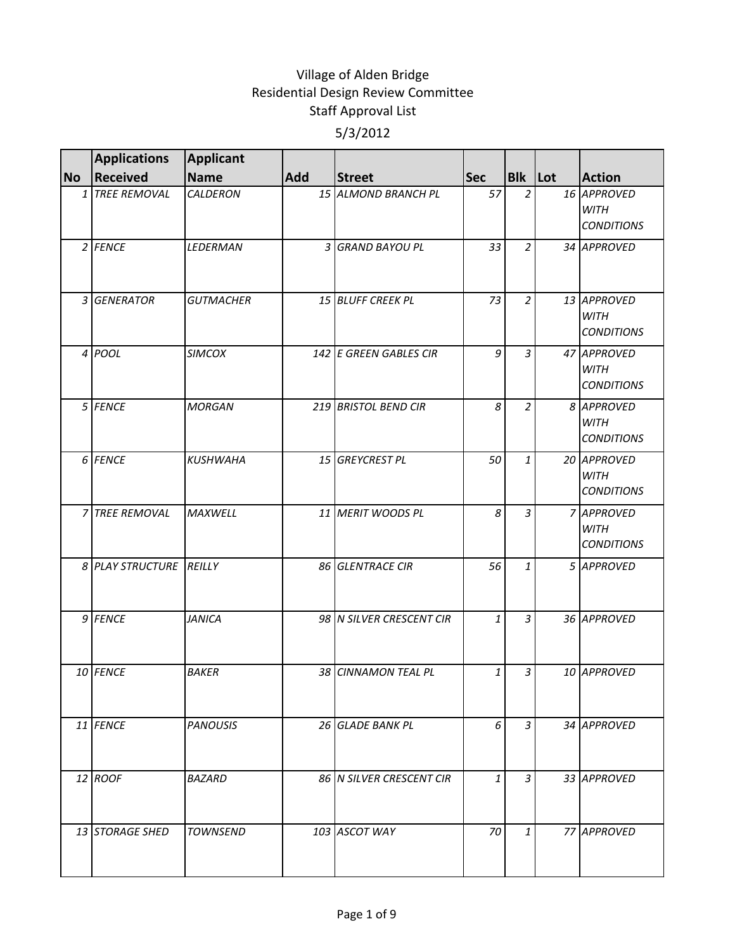|           | <b>Applications</b>     | <b>Applicant</b> |     |                          |              |                |                                                 |
|-----------|-------------------------|------------------|-----|--------------------------|--------------|----------------|-------------------------------------------------|
| <b>No</b> | Received                | <b>Name</b>      | Add | <b>Street</b>            | <b>Sec</b>   | <b>Blk</b> Lot | <b>Action</b>                                   |
|           | 1 TREE REMOVAL          | CALDERON         |     | 15 ALMOND BRANCH PL      | 57           | $\overline{2}$ | 16 APPROVED<br>WITH<br><b>CONDITIONS</b>        |
|           | 2 FENCE                 | LEDERMAN         |     | 3 GRAND BAYOU PL         | 33           | $\overline{2}$ | 34 APPROVED                                     |
|           | 3 GENERATOR             | <b>GUTMACHER</b> |     | 15 BLUFF CREEK PL        | 73           | $\overline{2}$ | 13 APPROVED<br><b>WITH</b><br><b>CONDITIONS</b> |
|           | 4 POOL                  | <b>SIMCOX</b>    |     | 142 E GREEN GABLES CIR   | 9            | $\overline{3}$ | 47 APPROVED<br><b>WITH</b><br><b>CONDITIONS</b> |
|           | 5 FENCE                 | <b>MORGAN</b>    |     | 219 BRISTOL BEND CIR     | 8            | $\overline{2}$ | 8 APPROVED<br><b>WITH</b><br><b>CONDITIONS</b>  |
|           | 6 FENCE                 | <b>KUSHWAHA</b>  |     | 15 GREYCREST PL          | 50           | $\mathbf{1}$   | 20 APPROVED<br><b>WITH</b><br><b>CONDITIONS</b> |
|           | 7 TREE REMOVAL          | <b>MAXWELL</b>   |     | 11 MERIT WOODS PL        | 8            | $\overline{3}$ | 7 APPROVED<br><b>WITH</b><br><b>CONDITIONS</b>  |
|           | 8 PLAY STRUCTURE REILLY |                  |     | 86 GLENTRACE CIR         | 56           | $\mathbf{1}$   | 5 APPROVED                                      |
|           | 9 FENCE                 | <b>JANICA</b>    |     | 98 N SILVER CRESCENT CIR | $\mathbf{1}$ | $\overline{3}$ | 36 APPROVED                                     |
|           | 10 FENCE                | <b>BAKER</b>     |     | 38 CINNAMON TEAL PL      | 1            | 3              | 10 APPROVED                                     |
|           | 11 FENCE                | <b>PANOUSIS</b>  |     | 26 GLADE BANK PL         | 6            | 3              | 34 APPROVED                                     |
|           | 12 ROOF                 | <b>BAZARD</b>    |     | 86 N SILVER CRESCENT CIR | $\mathbf{1}$ | 3              | 33 APPROVED                                     |
|           | 13 STORAGE SHED         | <b>TOWNSEND</b>  |     | 103 ASCOT WAY            | 70           | 1              | 77 APPROVED                                     |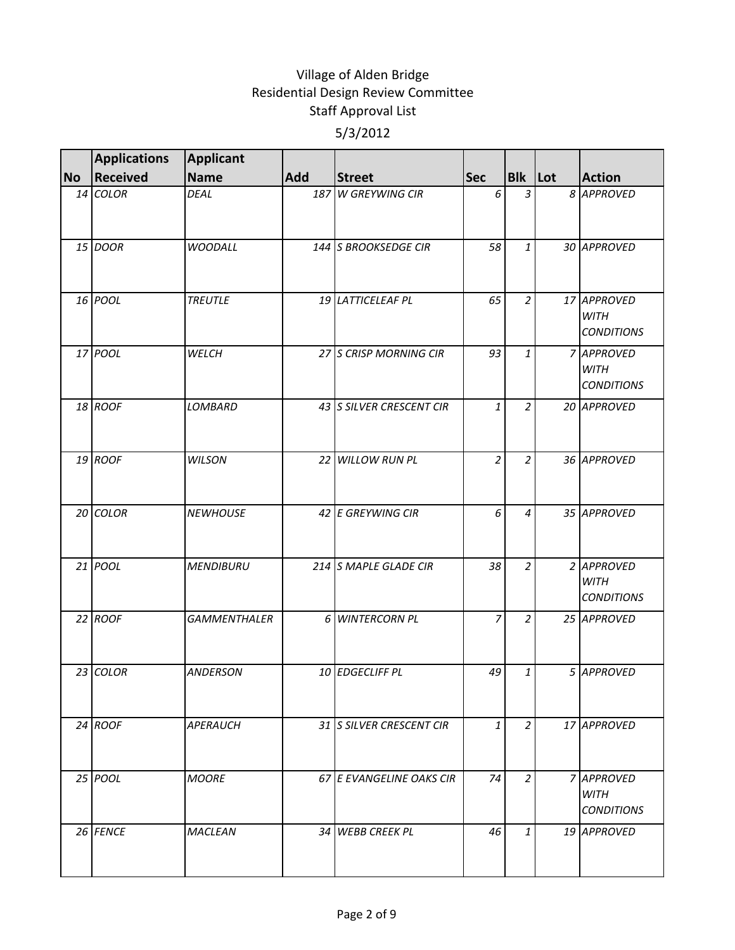|           | <b>Applications</b> | Applicant           |     |                          |                |                |                                                 |
|-----------|---------------------|---------------------|-----|--------------------------|----------------|----------------|-------------------------------------------------|
| <b>No</b> | Received            | <b>Name</b>         | Add | <b>Street</b>            | <b>Sec</b>     | <b>Blk</b> Lot | <b>Action</b>                                   |
|           | $14$ COLOR          | DEAL                |     | 187 W GREYWING CIR       | 6              | 3              | 8 APPROVED                                      |
|           | 15 DOOR             | <b>WOODALL</b>      |     | 144 S BROOKSEDGE CIR     | 58             | 1              | 30 APPROVED                                     |
|           | 16 POOL             | <b>TREUTLE</b>      |     | 19 LATTICELEAF PL        | 65             | $\overline{2}$ | 17 APPROVED<br><b>WITH</b><br><b>CONDITIONS</b> |
|           | 17 POOL             | WELCH               |     | 27 S CRISP MORNING CIR   | 93             | $\mathbf{1}$   | 7 APPROVED<br><b>WITH</b><br><b>CONDITIONS</b>  |
|           | 18 ROOF             | LOMBARD             |     | 43 SILVER CRESCENT CIR   | $\mathbf{1}$   | $\overline{2}$ | 20 APPROVED                                     |
|           | 19 ROOF             | <b>WILSON</b>       |     | 22 WILLOW RUN PL         | $\overline{a}$ | $\overline{2}$ | 36 APPROVED                                     |
|           | 20 COLOR            | <b>NEWHOUSE</b>     |     | 42 E GREYWING CIR        | 6              | 4              | 35 APPROVED                                     |
|           | 21 POOL             | <b>MENDIBURU</b>    |     | 214 S MAPLE GLADE CIR    | 38             | $\overline{2}$ | 2 APPROVED<br><b>WITH</b><br><b>CONDITIONS</b>  |
|           | 22 ROOF             | <b>GAMMENTHALER</b> |     | 6 WINTERCORN PL          | $\overline{7}$ | $\overline{2}$ | 25 APPROVED                                     |
|           | 23 COLOR            | <b>ANDERSON</b>     |     | 10 EDGECLIFF PL          | 49             | 1              | 5 APPROVED                                      |
|           | 24 ROOF             | APERAUCH            |     | 31 S SILVER CRESCENT CIR | $\mathbf{1}$   | $\overline{2}$ | 17 APPROVED                                     |
|           | 25 POOL             | <b>MOORE</b>        |     | 67 E EVANGELINE OAKS CIR | 74             | $\overline{2}$ | 7 APPROVED<br><b>WITH</b><br><b>CONDITIONS</b>  |
|           | 26 FENCE            | <b>MACLEAN</b>      |     | 34 WEBB CREEK PL         | 46             | $\mathbf{1}$   | 19 APPROVED                                     |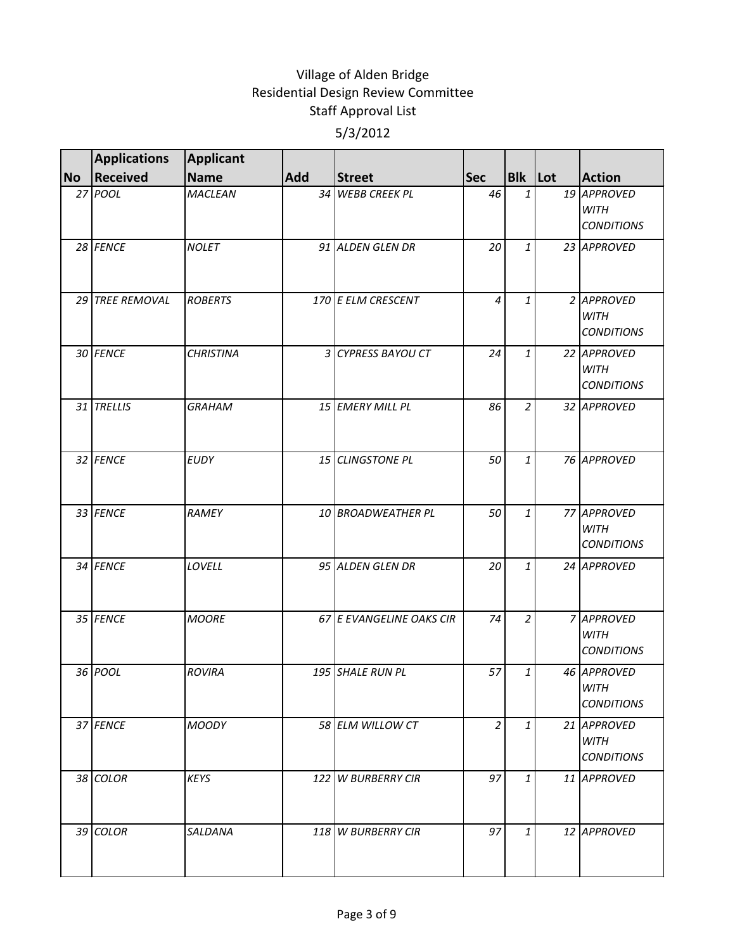|           | <b>Applications</b> | <b>Applicant</b> |     |                          |                |                |                                                 |
|-----------|---------------------|------------------|-----|--------------------------|----------------|----------------|-------------------------------------------------|
| <b>No</b> | <b>Received</b>     | <b>Name</b>      | Add | <b>Street</b>            | <b>Sec</b>     | <b>Blk</b> Lot | <b>Action</b>                                   |
|           | 27 POOL             | <b>MACLEAN</b>   |     | 34 WEBB CREEK PL         | 46             | 1              | 19 APPROVED<br><b>WITH</b><br><b>CONDITIONS</b> |
|           | 28 FENCE            | <b>NOLET</b>     |     | 91 ALDEN GLEN DR         | 20             | 1              | 23 APPROVED                                     |
|           | 29 TREE REMOVAL     | <b>ROBERTS</b>   |     | 170 E ELM CRESCENT       | 4              | 1              | 2 APPROVED<br><b>WITH</b><br><b>CONDITIONS</b>  |
|           | 30 FENCE            | <b>CHRISTINA</b> |     | 3 CYPRESS BAYOU CT       | 24             | $\mathbf{1}$   | 22 APPROVED<br><b>WITH</b><br><b>CONDITIONS</b> |
|           | 31 TRELLIS          | <b>GRAHAM</b>    |     | 15 EMERY MILL PL         | 86             | $\overline{2}$ | 32 APPROVED                                     |
|           | 32 FENCE            | <b>EUDY</b>      |     | 15 CLINGSTONE PL         | 50             | $\mathbf{1}$   | 76 APPROVED                                     |
|           | 33 FENCE            | RAMEY            |     | 10 BROADWEATHER PL       | 50             | 1              | 77 APPROVED<br><b>WITH</b><br><b>CONDITIONS</b> |
|           | 34 FENCE            | LOVELL           |     | 95 ALDEN GLEN DR         | 20             | $\mathbf{1}$   | 24 APPROVED                                     |
|           | 35 FENCE            | <b>MOORE</b>     |     | 67 E EVANGELINE OAKS CIR | 74             | $\overline{2}$ | 7 APPROVED<br><b>WITH</b><br><b>CONDITIONS</b>  |
|           | 36 POOL             | <b>ROVIRA</b>    |     | 195 SHALE RUN PL         | 57             | 1              | 46 APPROVED<br><b>WITH</b><br><b>CONDITIONS</b> |
|           | 37 FENCE            | <b>MOODY</b>     |     | 58 ELM WILLOW CT         | $\overline{2}$ | $\mathbf{1}$   | 21 APPROVED<br>WITH<br><b>CONDITIONS</b>        |
|           | 38 COLOR            | <b>KEYS</b>      |     | 122 W BURBERRY CIR       | 97             | $\mathbf{1}$   | 11 APPROVED                                     |
|           | 39 COLOR            | SALDANA          |     | 118 W BURBERRY CIR       | 97             | $\mathbf{1}$   | 12 APPROVED                                     |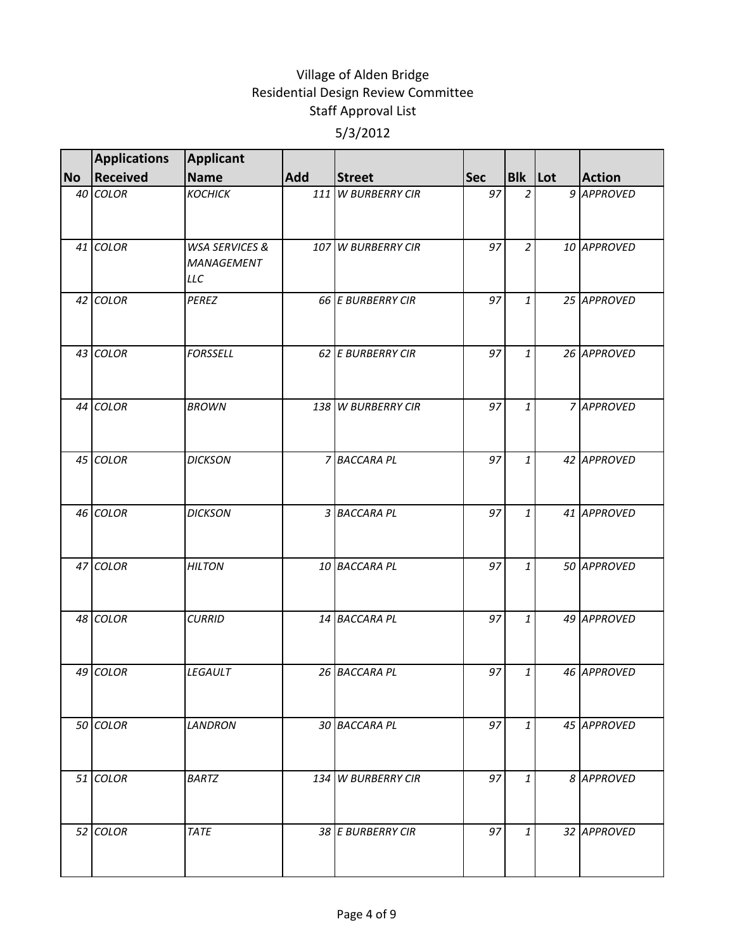|           | <b>Applications</b> | Applicant                                             |     |                    |            |                |               |
|-----------|---------------------|-------------------------------------------------------|-----|--------------------|------------|----------------|---------------|
| <b>No</b> | <b>Received</b>     | <b>Name</b>                                           | Add | <b>Street</b>      | <b>Sec</b> | <b>Blk Lot</b> | <b>Action</b> |
|           | 40 COLOR            | <b>КОСНІСК</b>                                        |     | 111 W BURBERRY CIR | 97         | $\overline{2}$ | 9 APPROVED    |
|           | 41 COLOR            | <b>WSA SERVICES &amp;</b><br>MANAGEMENT<br><b>LLC</b> |     | 107 W BURBERRY CIR | 97         | $\overline{2}$ | 10 APPROVED   |
|           | 42 COLOR            | PEREZ                                                 |     | 66 E BURBERRY CIR  | 97         | $\mathbf{1}$   | 25 APPROVED   |
|           | 43 COLOR            | <b>FORSSELL</b>                                       |     | 62 E BURBERRY CIR  | 97         | $\mathbf{1}$   | 26 APPROVED   |
|           | 44 COLOR            | <b>BROWN</b>                                          |     | 138 W BURBERRY CIR | 97         | $\mathbf{1}$   | 7 APPROVED    |
|           | 45 COLOR            | <b>DICKSON</b>                                        |     | 7 BACCARA PL       | 97         | $\mathbf{1}$   | 42 APPROVED   |
|           | 46 COLOR            | <b>DICKSON</b>                                        |     | 3 BACCARA PL       | 97         | $\mathbf{1}$   | 41 APPROVED   |
|           | 47 COLOR            | <b>HILTON</b>                                         |     | 10 BACCARA PL      | 97         | $\mathbf{1}$   | 50 APPROVED   |
|           | 48 COLOR            | <b>CURRID</b>                                         |     | 14 BACCARA PL      | 97         | $\mathbf{1}$   | 49 APPROVED   |
|           | 49 COLOR            | LEGAULT                                               |     | 26 BACCARA PL      | 97         | 1              | 46 APPROVED   |
|           | 50 COLOR            | <b>LANDRON</b>                                        |     | 30 BACCARA PL      | 97         | $\mathbf{1}$   | 45 APPROVED   |
|           | 51 COLOR            | <b>BARTZ</b>                                          |     | 134 W BURBERRY CIR | 97         | $\mathbf{1}$   | 8 APPROVED    |
|           | 52 COLOR            | <b>TATE</b>                                           |     | 38 E BURBERRY CIR  | 97         | 1              | 32 APPROVED   |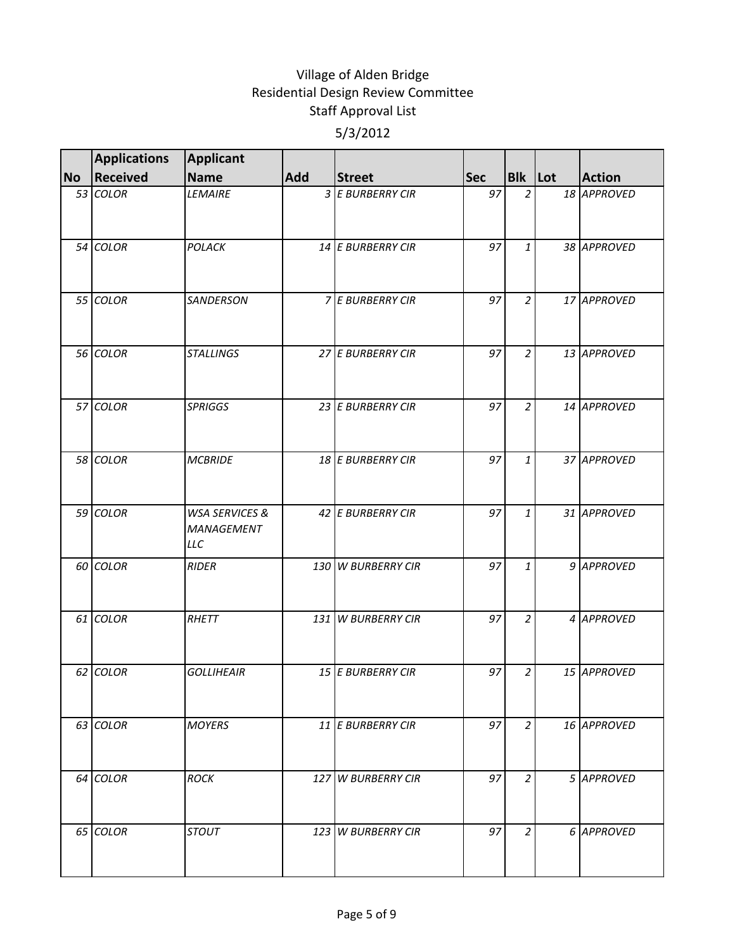|           | <b>Applications</b> | <b>Applicant</b>                               |     |                    |            |                |               |
|-----------|---------------------|------------------------------------------------|-----|--------------------|------------|----------------|---------------|
| <b>No</b> | Received            | Name                                           | Add | <b>Street</b>      | <b>Sec</b> | <b>Blk</b> Lot | <b>Action</b> |
|           | 53 COLOR            | <b>LEMAIRE</b>                                 |     | 3 E BURBERRY CIR   | 97         | $\overline{2}$ | 18 APPROVED   |
|           | 54 COLOR            | POLACK                                         |     | 14 E BURBERRY CIR  | 97         | $\mathbf{1}$   | 38 APPROVED   |
|           | 55 COLOR            | SANDERSON                                      |     | 7 E BURBERRY CIR   | 97         | $\overline{2}$ | 17 APPROVED   |
|           | 56 COLOR            | <b>STALLINGS</b>                               |     | 27 E BURBERRY CIR  | 97         | $\overline{2}$ | 13 APPROVED   |
|           | 57 COLOR            | <b>SPRIGGS</b>                                 |     | 23 E BURBERRY CIR  | 97         | $\overline{2}$ | 14 APPROVED   |
|           | 58 COLOR            | <b>MCBRIDE</b>                                 |     | 18 E BURBERRY CIR  | 97         | $\mathbf{1}$   | 37 APPROVED   |
|           | 59 COLOR            | <b>WSA SERVICES &amp;</b><br>MANAGEMENT<br>LLC |     | 42 E BURBERRY CIR  | 97         | 1              | 31 APPROVED   |
|           | 60 COLOR            | <b>RIDER</b>                                   |     | 130 W BURBERRY CIR | 97         | $\mathbf{1}$   | 9 APPROVED    |
|           | 61 COLOR            | RHETT                                          |     | 131 W BURBERRY CIR | 97         | $\overline{2}$ | 4 APPROVED    |
|           | 62 COLOR            | <b>GOLLIHEAIR</b>                              |     | 15 E BURBERRY CIR  | 97         | 2              | 15 APPROVED   |
|           | 63 COLOR            | <b>MOYERS</b>                                  |     | 11 E BURBERRY CIR  | 97         | $\overline{2}$ | 16 APPROVED   |
|           | 64 COLOR            | <b>ROCK</b>                                    |     | 127 W BURBERRY CIR | 97         | $\overline{c}$ | 5 APPROVED    |
|           | 65 COLOR            | <b>STOUT</b>                                   |     | 123 W BURBERRY CIR | 97         | $\overline{2}$ | 6 APPROVED    |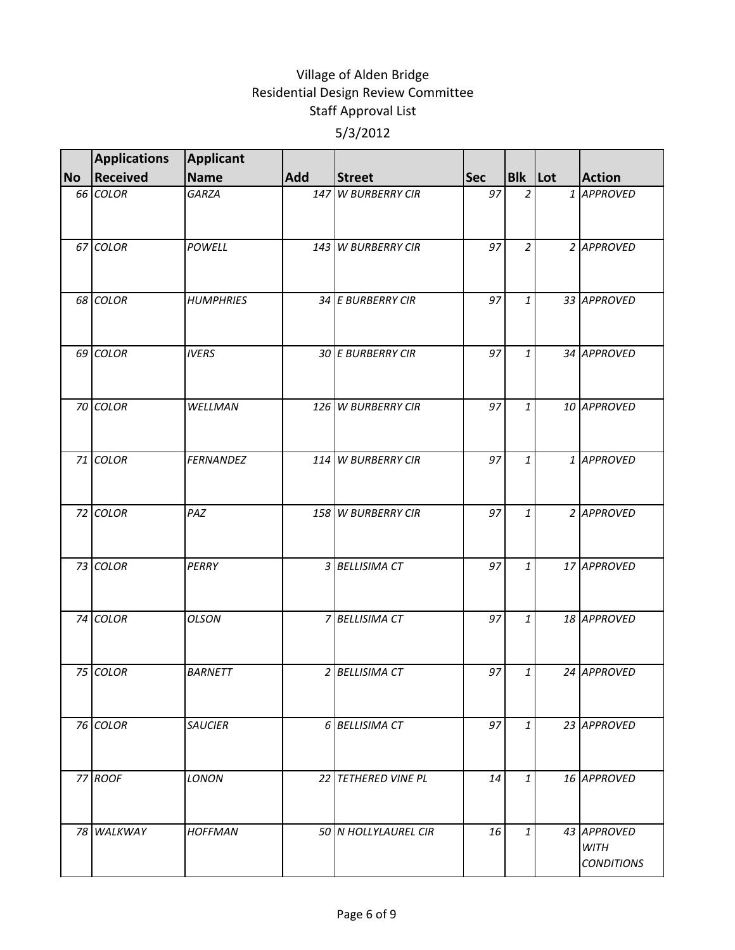|           | <b>Applications</b> | <b>Applicant</b> |     |                      |            |                |                                                 |
|-----------|---------------------|------------------|-----|----------------------|------------|----------------|-------------------------------------------------|
| <b>No</b> | <b>Received</b>     | Name             | Add | <b>Street</b>        | <b>Sec</b> | <b>Blk</b> Lot | <b>Action</b>                                   |
|           | 66 COLOR            | GARZA            |     | 147 W BURBERRY CIR   | 97         | $\overline{2}$ | 1 APPROVED                                      |
|           | 67 COLOR            | POWELL           |     | 143 W BURBERRY CIR   | 97         | $\overline{2}$ | 2 APPROVED                                      |
|           | 68 COLOR            | <b>HUMPHRIES</b> |     | 34 E BURBERRY CIR    | 97         | $\mathbf{1}$   | 33 APPROVED                                     |
|           | 69 COLOR            | <b>IVERS</b>     |     | 30 E BURBERRY CIR    | 97         | $\mathbf{1}$   | 34 APPROVED                                     |
|           | 70 COLOR            | WELLMAN          |     | 126 W BURBERRY CIR   | 97         | $\mathbf{1}$   | 10 APPROVED                                     |
|           | 71 COLOR            | <b>FERNANDEZ</b> |     | 114 W BURBERRY CIR   | 97         | $\mathbf{1}$   | 1 APPROVED                                      |
|           | 72 COLOR            | PAZ              |     | 158 W BURBERRY CIR   | 97         | 1              | 2 APPROVED                                      |
|           | 73 COLOR            | PERRY            |     | 3 BELLISIMA CT       | 97         | $\mathbf{1}$   | 17 APPROVED                                     |
|           | 74 COLOR            | <b>OLSON</b>     |     | 7 BELLISIMA CT       | 97         | $\mathbf{1}$   | 18 APPROVED                                     |
|           | 75 COLOR            | <b>BARNETT</b>   |     | 2 BELLISIMA CT       | 97         | 1              | 24 APPROVED                                     |
|           | 76 COLOR            | <b>SAUCIER</b>   |     | 6 BELLISIMA CT       | 97         | $\mathbf{1}$   | 23 APPROVED                                     |
|           | 77 ROOF             | LONON            |     | 22 TETHERED VINE PL  | 14         | $\mathbf{1}$   | 16 APPROVED                                     |
|           | 78 WALKWAY          | <b>HOFFMAN</b>   |     | 50 N HOLLYLAUREL CIR | 16         | $\mathbf{1}$   | 43 APPROVED<br><b>WITH</b><br><b>CONDITIONS</b> |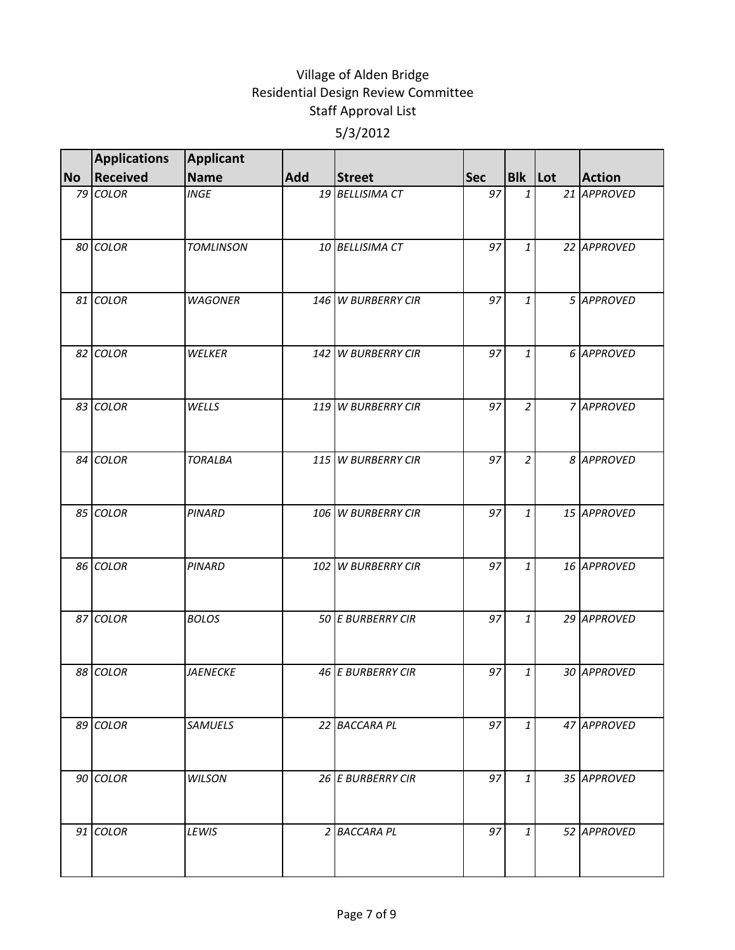|           | <b>Applications</b> | <b>Applicant</b> |     |                    |            |                |               |
|-----------|---------------------|------------------|-----|--------------------|------------|----------------|---------------|
| <b>No</b> | Received            | Name             | Add | <b>Street</b>      | <b>Sec</b> | <b>Blk</b> Lot | <b>Action</b> |
|           | 79 COLOR            | <b>INGE</b>      |     | 19 BELLISIMA CT    | 97         | $\mathbf{1}$   | 21 APPROVED   |
|           | 80 COLOR            | <b>TOMLINSON</b> |     | 10 BELLISIMA CT    | 97         | $\mathbf{1}$   | 22 APPROVED   |
|           | 81 COLOR            | <b>WAGONER</b>   |     | 146 W BURBERRY CIR | 97         | $\mathbf{1}$   | 5 APPROVED    |
|           | 82 COLOR            | WELKER           |     | 142 W BURBERRY CIR | 97         | $\mathbf{1}$   | 6 APPROVED    |
|           | 83 COLOR            | WELLS            |     | 119 W BURBERRY CIR | 97         | $\overline{2}$ | 7 APPROVED    |
|           | 84 COLOR            | <b>TORALBA</b>   |     | 115 W BURBERRY CIR | 97         | $\overline{2}$ | 8 APPROVED    |
|           | 85 COLOR            | <b>PINARD</b>    |     | 106 W BURBERRY CIR | 97         | 1              | 15 APPROVED   |
|           | 86 COLOR            | <b>PINARD</b>    |     | 102 W BURBERRY CIR | 97         | $\mathbf{1}$   | 16 APPROVED   |
|           | 87 COLOR            | <b>BOLOS</b>     |     | 50 E BURBERRY CIR  | 97         | $\mathbf{1}$   | 29 APPROVED   |
|           | 88 COLOR            | <b>JAENECKE</b>  |     | 46 E BURBERRY CIR  | 97         | 1              | 30 APPROVED   |
|           | 89 COLOR            | <b>SAMUELS</b>   |     | 22 BACCARA PL      | 97         | $\mathbf{1}$   | 47 APPROVED   |
|           | 90 COLOR            | WILSON           |     | 26 E BURBERRY CIR  | 97         | $\mathbf{1}$   | 35 APPROVED   |
|           | 91 COLOR            | LEWIS            |     | 2 BACCARA PL       | 97         | $\mathbf{1}$   | 52 APPROVED   |
|           |                     |                  |     |                    |            |                |               |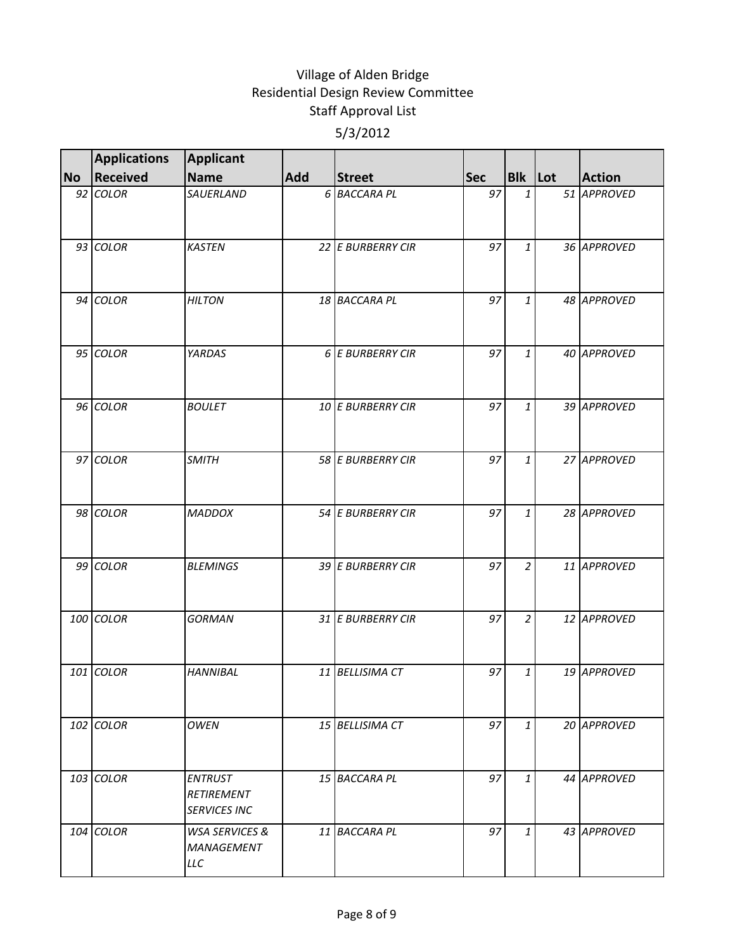|           | <b>Applications</b> | <b>Applicant</b>                                      |     |                   |            |                |               |
|-----------|---------------------|-------------------------------------------------------|-----|-------------------|------------|----------------|---------------|
| <b>No</b> | Received            | Name                                                  | Add | <b>Street</b>     | <b>Sec</b> | <b>Blk</b> Lot | <b>Action</b> |
|           | 92 COLOR            | SAUERLAND                                             |     | 6 BACCARA PL      | 97         | 1              | 51 APPROVED   |
|           | 93 COLOR            | <b>KASTEN</b>                                         |     | 22 E BURBERRY CIR | 97         | 1              | 36 APPROVED   |
|           | 94 COLOR            | <b>HILTON</b>                                         |     | 18 BACCARA PL     | 97         | $\mathbf{1}$   | 48 APPROVED   |
|           | 95 COLOR            | YARDAS                                                |     | 6 E BURBERRY CIR  | 97         | $\mathbf{1}$   | 40 APPROVED   |
|           | 96 COLOR            | <b>BOULET</b>                                         |     | 10 E BURBERRY CIR | 97         | $\mathbf{1}$   | 39 APPROVED   |
|           | 97 COLOR            | <b>SMITH</b>                                          |     | 58 E BURBERRY CIR | 97         | $\mathbf{1}$   | 27 APPROVED   |
|           | 98 COLOR            | <b>MADDOX</b>                                         |     | 54 E BURBERRY CIR | 97         | 1              | 28 APPROVED   |
|           | 99 COLOR            | <b>BLEMINGS</b>                                       |     | 39 E BURBERRY CIR | 97         | $\overline{2}$ | 11 APPROVED   |
|           | 100 COLOR           | <b>GORMAN</b>                                         |     | 31 E BURBERRY CIR | 97         | $\overline{2}$ | 12 APPROVED   |
|           | 101 COLOR           | <b>HANNIBAL</b>                                       |     | 11 BELLISIMA CT   | 97         | 1              | 19 APPROVED   |
|           | 102 COLOR           | <b>OWEN</b>                                           |     | 15 BELLISIMA CT   | 97         | $\mathbf{1}$   | 20 APPROVED   |
|           | $103$ COLOR         | <b>ENTRUST</b><br>RETIREMENT<br><b>SERVICES INC</b>   |     | 15 BACCARA PL     | 97         | $\mathbf{1}$   | 44 APPROVED   |
|           | 104 COLOR           | <b>WSA SERVICES &amp;</b><br><b>MANAGEMENT</b><br>LLC |     | 11 BACCARA PL     | 97         | $\mathbf{1}$   | 43 APPROVED   |